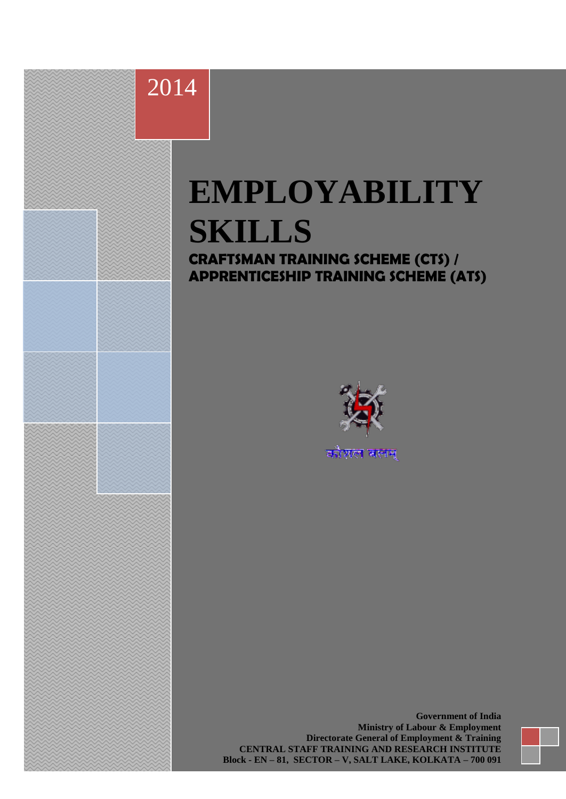## 2014

# **EMPLOYABILITY SKILLS CRAFTSMAN TRAINING SCHEME (CTS) /**

**APPRENTICESHIP TRAINING SCHEME (ATS)**



1 **CENTRAL STAFF TRAINING AND RESEARCH INSTITUTE Government of India Ministry of Labour & Employment Directorate General of Employment & Training Block - EN – 81, SECTOR – V, SALT LAKE, KOLKATA – 700 091**



1/1/2013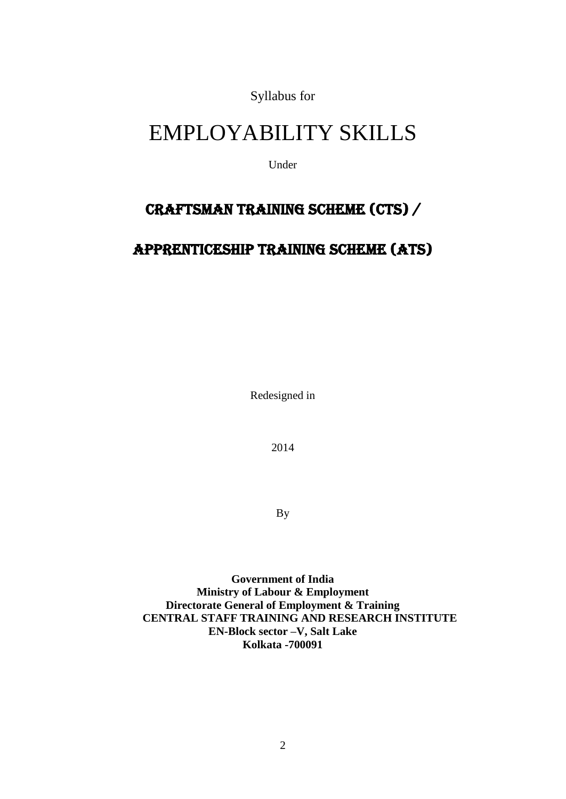Syllabus for

## EMPLOYABILITY SKILLS

Under

## CRAFTSMAN TRAINING SCHEME (CTS) /

### APPRENTICESHIP TRAINING SCHEME (ATS)

Redesigned in

2014

By

**Government of India Ministry of Labour & Employment Directorate General of Employment & Training CENTRAL STAFF TRAINING AND RESEARCH INSTITUTE EN-Block sector –V, Salt Lake Kolkata -700091**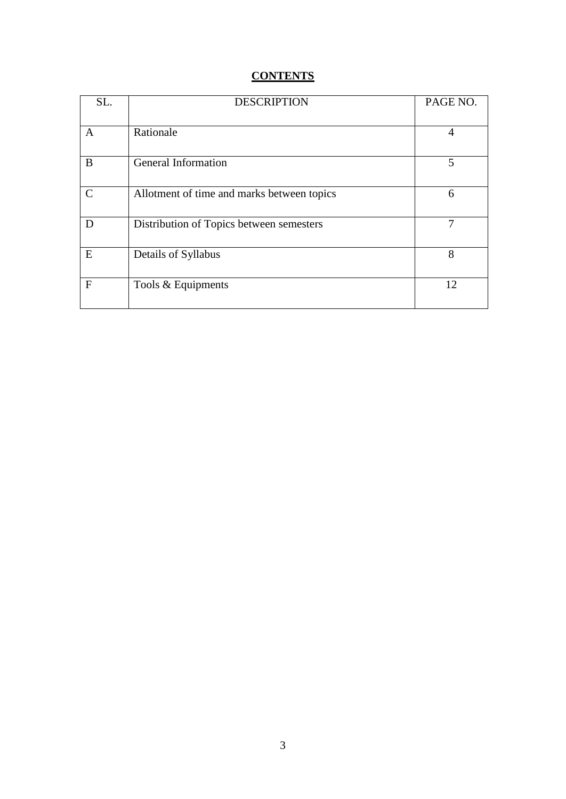#### **CONTENTS**

| SL.           | <b>DESCRIPTION</b>                         | PAGE NO. |
|---------------|--------------------------------------------|----------|
|               |                                            |          |
| A             | Rationale                                  | 4        |
| B             | General Information                        | 5        |
| $\mathcal{C}$ | Allotment of time and marks between topics | 6        |
| D             | Distribution of Topics between semesters   | 7        |
| E             | Details of Syllabus                        | 8        |
| $\mathbf{F}$  | Tools & Equipments                         | 12       |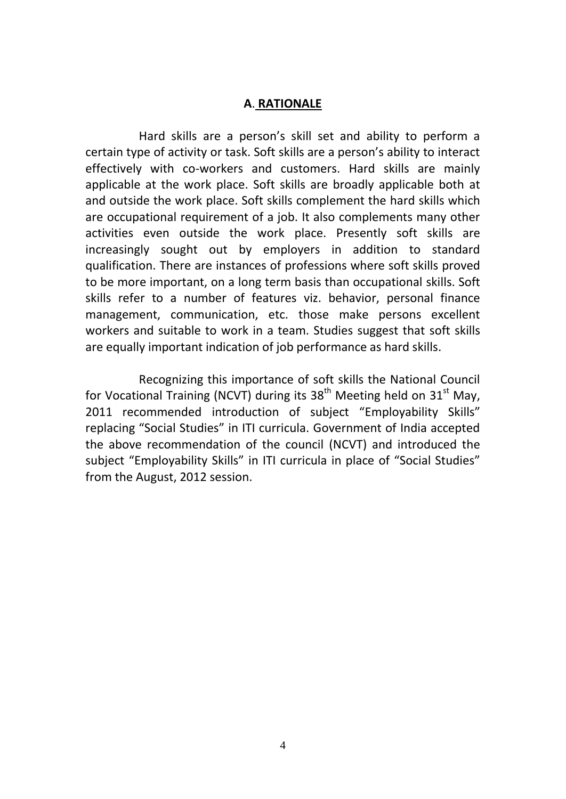#### **A**. **RATIONALE**

Hard skills are a person's skill set and ability to perform a certain type of activity or task. Soft skills are a person's ability to interact effectively with co-workers and customers. Hard skills are mainly applicable at the work place. Soft skills are broadly applicable both at and outside the work place. Soft skills complement the hard skills which are occupational requirement of a job. It also complements many other activities even outside the work place. Presently soft skills are increasingly sought out by employers in addition to standard qualification. There are instances of professions where soft skills proved to be more important, on a long term basis than occupational skills. Soft skills refer to a number of features viz. behavior, personal finance management, communication, etc. those make persons excellent workers and suitable to work in a team. Studies suggest that soft skills are equally important indication of job performance as hard skills.

Recognizing this importance of soft skills the National Council for Vocational Training (NCVT) during its  $38<sup>th</sup>$  Meeting held on  $31<sup>st</sup>$  May, 2011 recommended introduction of subject "Employability Skills" replacing "Social Studies" in ITI curricula. Government of India accepted the above recommendation of the council (NCVT) and introduced the subject "Employability Skills" in ITI curricula in place of "Social Studies" from the August, 2012 session.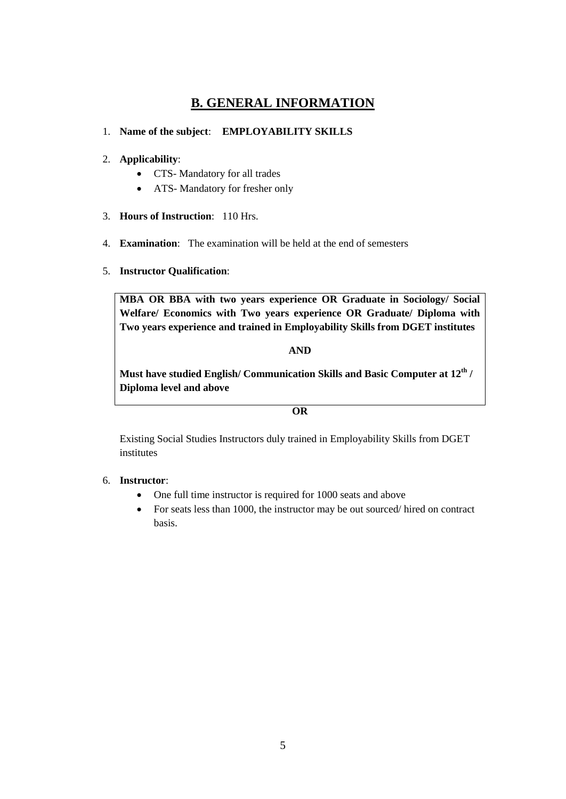#### **B. GENERAL INFORMATION**

#### 1. **Name of the subject**: **EMPLOYABILITY SKILLS**

#### 2. **Applicability**:

- CTS- Mandatory for all trades
- ATS- Mandatory for fresher only
- 3. **Hours of Instruction**: 110 Hrs.
- 4. **Examination**: The examination will be held at the end of semesters
- 5. **Instructor Qualification**:

**MBA OR BBA with two years experience OR Graduate in Sociology/ Social Welfare/ Economics with Two years experience OR Graduate/ Diploma with Two years experience and trained in Employability Skills from DGET institutes**

**AND** 

**Must have studied English/ Communication Skills and Basic Computer at 12th / Diploma level and above**

**OR**

Existing Social Studies Instructors duly trained in Employability Skills from DGET institutes

#### 6. **Instructor**:

- One full time instructor is required for 1000 seats and above
- For seats less than 1000, the instructor may be out sourced/ hired on contract basis.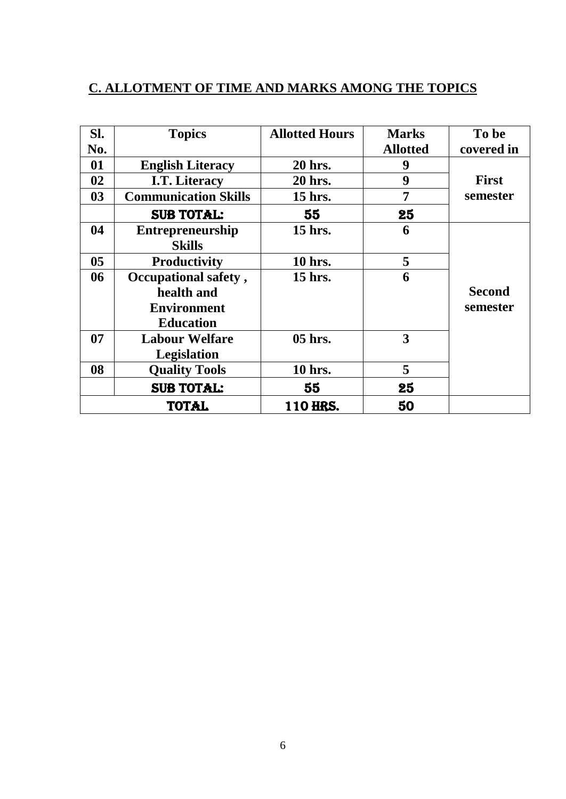## **C. ALLOTMENT OF TIME AND MARKS AMONG THE TOPICS**

| SI.            | <b>Topics</b>                                                                | <b>Allotted Hours</b> | <b>Marks</b>    | To be                     |
|----------------|------------------------------------------------------------------------------|-----------------------|-----------------|---------------------------|
| No.            |                                                                              |                       | <b>Allotted</b> | covered in                |
| 01             | <b>English Literacy</b>                                                      | 20 hrs.               | 9               |                           |
| 02             | <b>I.T.</b> Literacy                                                         | 20 hrs.               | 9               | <b>First</b>              |
| 03             | <b>Communication Skills</b>                                                  | 15 hrs.               | $\overline{7}$  | semester                  |
|                | <b>SUB TOTAL:</b>                                                            | 55                    | 25              |                           |
| 04             | <b>Entrepreneurship</b><br><b>Skills</b>                                     | 15 hrs.               | 6               |                           |
| 0 <sub>5</sub> | <b>Productivity</b>                                                          | <b>10 hrs.</b>        | 5               |                           |
| 06             | Occupational safety,<br>health and<br><b>Environment</b><br><b>Education</b> | 15 hrs.               | 6               | <b>Second</b><br>semester |
| 07             | <b>Labour Welfare</b><br><b>Legislation</b>                                  | 05 hrs.               | 3               |                           |
| 08             | <b>Quality Tools</b>                                                         | 10 hrs.               | 5               |                           |
|                | <b>SUB TOTAL:</b>                                                            | 55                    | 25              |                           |
|                | <b>TOTAL</b>                                                                 | 110 HRS.              | 50              |                           |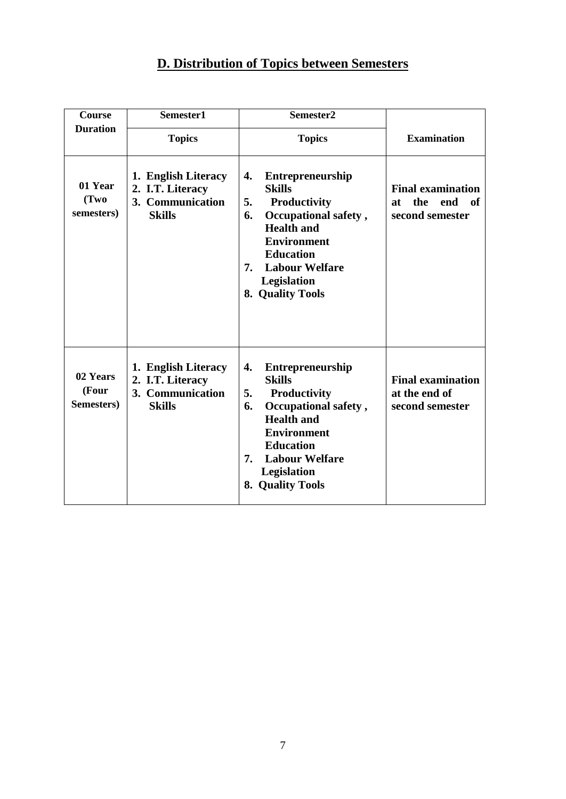## **D. Distribution of Topics between Semesters**

| Course                          | Semester1                                                                    | Semester2                                                                                                                                                                                                                                   |                                                                       |  |  |
|---------------------------------|------------------------------------------------------------------------------|---------------------------------------------------------------------------------------------------------------------------------------------------------------------------------------------------------------------------------------------|-----------------------------------------------------------------------|--|--|
| <b>Duration</b>                 | <b>Topics</b>                                                                | <b>Topics</b>                                                                                                                                                                                                                               | <b>Examination</b>                                                    |  |  |
| 01 Year<br>(Two<br>semesters)   | 1. English Literacy<br>2. I.T. Literacy<br>3. Communication<br><b>Skills</b> | 4.<br><b>Entrepreneurship</b><br><b>Skills</b><br>5.<br>Productivity<br><b>Occupational safety</b> ,<br>6.<br><b>Health</b> and<br><b>Environment</b><br><b>Education</b><br><b>Labour Welfare</b><br>7.<br>Legislation<br>8. Quality Tools | <b>Final examination</b><br>the<br>end<br>of<br>at<br>second semester |  |  |
| 02 Years<br>(Four<br>Semesters) | 1. English Literacy<br>2. I.T. Literacy<br>3. Communication<br><b>Skills</b> | 4.<br><b>Entrepreneurship</b><br><b>Skills</b><br>5.<br>Productivity<br><b>Occupational safety</b> ,<br>6.<br><b>Health and</b><br><b>Environment</b><br><b>Education</b><br><b>Labour Welfare</b><br>7.<br>Legislation<br>8. Quality Tools | <b>Final examination</b><br>at the end of<br>second semester          |  |  |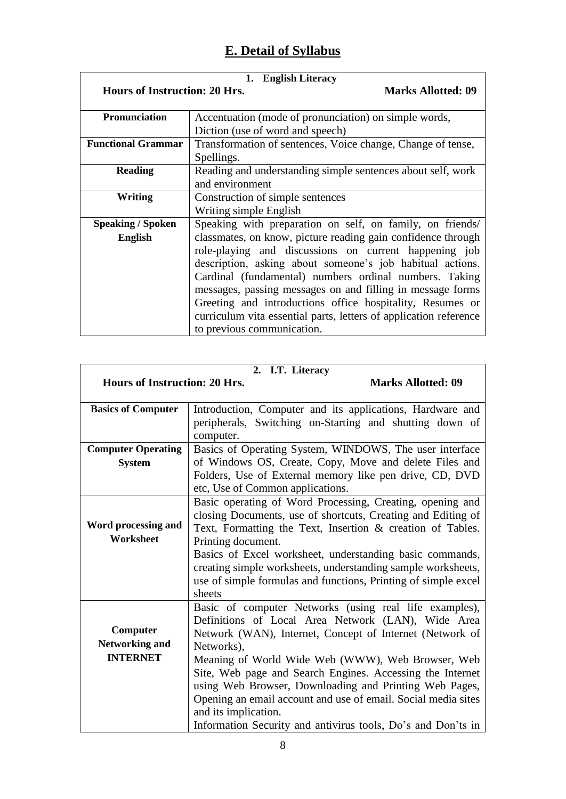## **E. Detail of Syllabus**

| 1. English Literacy                  |                                                                   |                           |  |  |  |  |  |
|--------------------------------------|-------------------------------------------------------------------|---------------------------|--|--|--|--|--|
| <b>Hours of Instruction: 20 Hrs.</b> |                                                                   | <b>Marks Allotted: 09</b> |  |  |  |  |  |
|                                      |                                                                   |                           |  |  |  |  |  |
| <b>Pronunciation</b>                 | Accentuation (mode of pronunciation) on simple words,             |                           |  |  |  |  |  |
|                                      | Diction (use of word and speech)                                  |                           |  |  |  |  |  |
| <b>Functional Grammar</b>            | Transformation of sentences, Voice change, Change of tense,       |                           |  |  |  |  |  |
|                                      | Spellings.                                                        |                           |  |  |  |  |  |
| <b>Reading</b>                       | Reading and understanding simple sentences about self, work       |                           |  |  |  |  |  |
|                                      | and environment                                                   |                           |  |  |  |  |  |
| Writing                              | Construction of simple sentences                                  |                           |  |  |  |  |  |
|                                      | Writing simple English                                            |                           |  |  |  |  |  |
| <b>Speaking / Spoken</b>             | Speaking with preparation on self, on family, on friends/         |                           |  |  |  |  |  |
| <b>English</b>                       | classmates, on know, picture reading gain confidence through      |                           |  |  |  |  |  |
|                                      | role-playing and discussions on current happening job             |                           |  |  |  |  |  |
|                                      | description, asking about someone's job habitual actions.         |                           |  |  |  |  |  |
|                                      | Cardinal (fundamental) numbers ordinal numbers. Taking            |                           |  |  |  |  |  |
|                                      | messages, passing messages on and filling in message forms        |                           |  |  |  |  |  |
|                                      | Greeting and introductions office hospitality, Resumes or         |                           |  |  |  |  |  |
|                                      | curriculum vita essential parts, letters of application reference |                           |  |  |  |  |  |
|                                      | to previous communication.                                        |                           |  |  |  |  |  |

| 2. I.T. Literacy                     |                                                                |  |  |  |  |
|--------------------------------------|----------------------------------------------------------------|--|--|--|--|
| <b>Hours of Instruction: 20 Hrs.</b> | <b>Marks Allotted: 09</b>                                      |  |  |  |  |
|                                      |                                                                |  |  |  |  |
| <b>Basics of Computer</b>            | Introduction, Computer and its applications, Hardware and      |  |  |  |  |
|                                      | peripherals, Switching on-Starting and shutting down of        |  |  |  |  |
|                                      | computer.                                                      |  |  |  |  |
| <b>Computer Operating</b>            | Basics of Operating System, WINDOWS, The user interface        |  |  |  |  |
| <b>System</b>                        | of Windows OS, Create, Copy, Move and delete Files and         |  |  |  |  |
|                                      | Folders, Use of External memory like pen drive, CD, DVD        |  |  |  |  |
|                                      | etc, Use of Common applications.                               |  |  |  |  |
|                                      | Basic operating of Word Processing, Creating, opening and      |  |  |  |  |
|                                      | closing Documents, use of shortcuts, Creating and Editing of   |  |  |  |  |
| Word processing and                  | Text, Formatting the Text, Insertion & creation of Tables.     |  |  |  |  |
| Worksheet                            | Printing document.                                             |  |  |  |  |
|                                      | Basics of Excel worksheet, understanding basic commands,       |  |  |  |  |
|                                      | creating simple worksheets, understanding sample worksheets,   |  |  |  |  |
|                                      | use of simple formulas and functions, Printing of simple excel |  |  |  |  |
|                                      | sheets                                                         |  |  |  |  |
|                                      | Basic of computer Networks (using real life examples),         |  |  |  |  |
|                                      | Definitions of Local Area Network (LAN), Wide Area             |  |  |  |  |
| Computer                             | Network (WAN), Internet, Concept of Internet (Network of       |  |  |  |  |
| <b>Networking and</b>                | Networks),                                                     |  |  |  |  |
| <b>INTERNET</b>                      | Meaning of World Wide Web (WWW), Web Browser, Web              |  |  |  |  |
|                                      | Site, Web page and Search Engines. Accessing the Internet      |  |  |  |  |
|                                      | using Web Browser, Downloading and Printing Web Pages,         |  |  |  |  |
|                                      | Opening an email account and use of email. Social media sites  |  |  |  |  |
|                                      | and its implication.                                           |  |  |  |  |
|                                      | Information Security and antivirus tools, Do's and Don'ts in   |  |  |  |  |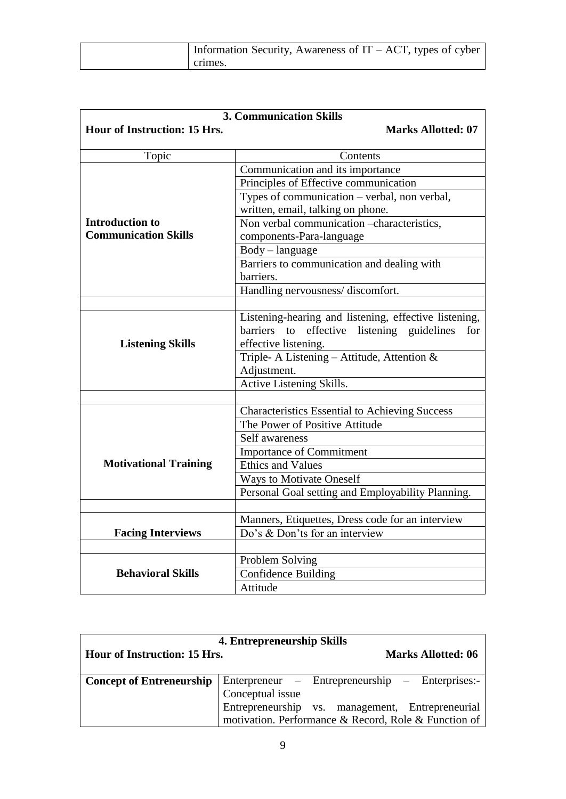| Information Security, Awareness of $IT - ACT$ , types of cyber |
|----------------------------------------------------------------|
| crimes.                                                        |

| <b>3. Communication Skills</b>      |                                                       |  |  |  |  |
|-------------------------------------|-------------------------------------------------------|--|--|--|--|
| <b>Hour of Instruction: 15 Hrs.</b> | <b>Marks Allotted: 07</b>                             |  |  |  |  |
| Topic                               | Contents                                              |  |  |  |  |
|                                     | Communication and its importance                      |  |  |  |  |
|                                     | Principles of Effective communication                 |  |  |  |  |
|                                     | Types of communication - verbal, non verbal,          |  |  |  |  |
|                                     | written, email, talking on phone.                     |  |  |  |  |
| <b>Introduction to</b>              | Non verbal communication -characteristics,            |  |  |  |  |
| <b>Communication Skills</b>         | components-Para-language                              |  |  |  |  |
|                                     | Body - language                                       |  |  |  |  |
|                                     | Barriers to communication and dealing with            |  |  |  |  |
|                                     | barriers.                                             |  |  |  |  |
|                                     | Handling nervousness/discomfort.                      |  |  |  |  |
|                                     |                                                       |  |  |  |  |
|                                     | Listening-hearing and listening, effective listening, |  |  |  |  |
|                                     | barriers to<br>effective listening guidelines<br>for  |  |  |  |  |
| <b>Listening Skills</b>             | effective listening.                                  |  |  |  |  |
|                                     | Triple- A Listening - Attitude, Attention &           |  |  |  |  |
|                                     | Adjustment.                                           |  |  |  |  |
|                                     | Active Listening Skills.                              |  |  |  |  |
|                                     |                                                       |  |  |  |  |
|                                     | <b>Characteristics Essential to Achieving Success</b> |  |  |  |  |
|                                     | The Power of Positive Attitude                        |  |  |  |  |
|                                     | Self awareness                                        |  |  |  |  |
|                                     | <b>Importance of Commitment</b>                       |  |  |  |  |
| <b>Motivational Training</b>        | <b>Ethics and Values</b>                              |  |  |  |  |
|                                     | Ways to Motivate Oneself                              |  |  |  |  |
|                                     | Personal Goal setting and Employability Planning.     |  |  |  |  |
|                                     |                                                       |  |  |  |  |
|                                     | Manners, Etiquettes, Dress code for an interview      |  |  |  |  |
| <b>Facing Interviews</b>            | Do's & Don'ts for an interview                        |  |  |  |  |
|                                     |                                                       |  |  |  |  |
|                                     | Problem Solving                                       |  |  |  |  |
| <b>Behavioral Skills</b>            | <b>Confidence Building</b>                            |  |  |  |  |
|                                     | Attitude                                              |  |  |  |  |

| 4. Entrepreneurship Skills      |                                                                                                          |  |  |  |  |  |  |
|---------------------------------|----------------------------------------------------------------------------------------------------------|--|--|--|--|--|--|
| Hour of Instruction: 15 Hrs.    | <b>Marks Allotted: 06</b>                                                                                |  |  |  |  |  |  |
| <b>Concept of Entreneurship</b> | Enterpreneur – Entrepreneurship – Enterprises:-<br>Conceptual issue                                      |  |  |  |  |  |  |
|                                 | Entrepreneurship vs. management, Entrepreneurial<br>motivation. Performance & Record, Role & Function of |  |  |  |  |  |  |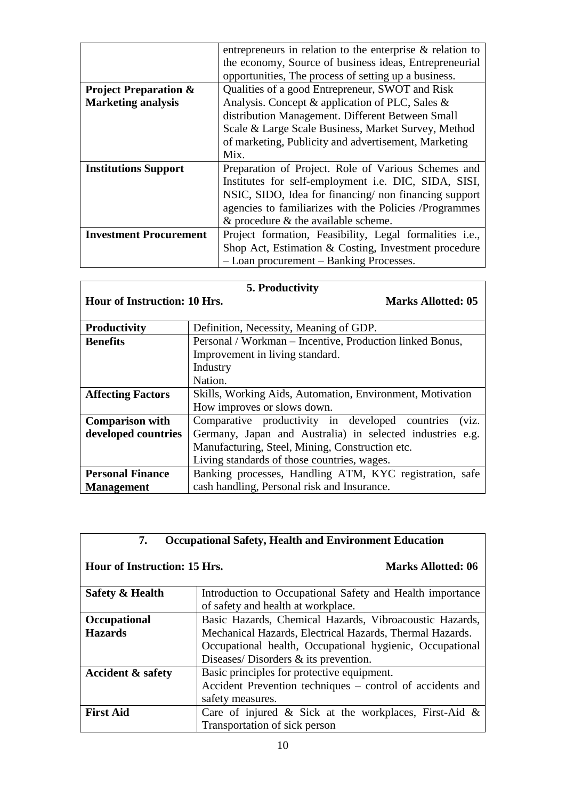|                                  | entrepreneurs in relation to the enterprise $\&$ relation to |  |  |  |  |  |
|----------------------------------|--------------------------------------------------------------|--|--|--|--|--|
|                                  | the economy, Source of business ideas, Entrepreneurial       |  |  |  |  |  |
|                                  | opportunities, The process of setting up a business.         |  |  |  |  |  |
| <b>Project Preparation &amp;</b> | Qualities of a good Entrepreneur, SWOT and Risk              |  |  |  |  |  |
| <b>Marketing analysis</b>        | Analysis. Concept & application of PLC, Sales &              |  |  |  |  |  |
|                                  | distribution Management. Different Between Small             |  |  |  |  |  |
|                                  | Scale & Large Scale Business, Market Survey, Method          |  |  |  |  |  |
|                                  | of marketing, Publicity and advertisement, Marketing         |  |  |  |  |  |
|                                  | Mix.                                                         |  |  |  |  |  |
| <b>Institutions Support</b>      | Preparation of Project. Role of Various Schemes and          |  |  |  |  |  |
|                                  | Institutes for self-employment i.e. DIC, SIDA, SISI,         |  |  |  |  |  |
|                                  | NSIC, SIDO, Idea for financing/non financing support         |  |  |  |  |  |
|                                  | agencies to familiarizes with the Policies /Programmes       |  |  |  |  |  |
|                                  | $\&$ procedure $\&$ the available scheme.                    |  |  |  |  |  |
| <b>Investment Procurement</b>    | Project formation, Feasibility, Legal formalities i.e.,      |  |  |  |  |  |
|                                  | Shop Act, Estimation & Costing, Investment procedure         |  |  |  |  |  |
|                                  | - Loan procurement - Banking Processes.                      |  |  |  |  |  |

| 5. Productivity                                               |                                                           |  |  |  |  |  |  |
|---------------------------------------------------------------|-----------------------------------------------------------|--|--|--|--|--|--|
| <b>Hour of Instruction: 10 Hrs.</b>                           | Marks Allotted: 05                                        |  |  |  |  |  |  |
| Definition, Necessity, Meaning of GDP.<br><b>Productivity</b> |                                                           |  |  |  |  |  |  |
| <b>Benefits</b>                                               | Personal / Workman – Incentive, Production linked Bonus,  |  |  |  |  |  |  |
|                                                               | Improvement in living standard.                           |  |  |  |  |  |  |
|                                                               | Industry                                                  |  |  |  |  |  |  |
|                                                               | Nation.                                                   |  |  |  |  |  |  |
| <b>Affecting Factors</b>                                      | Skills, Working Aids, Automation, Environment, Motivation |  |  |  |  |  |  |
|                                                               | How improves or slows down.                               |  |  |  |  |  |  |
| <b>Comparison with</b>                                        | Comparative productivity in developed countries<br>(viz.  |  |  |  |  |  |  |
| developed countries                                           | Germany, Japan and Australia) in selected industries e.g. |  |  |  |  |  |  |
|                                                               | Manufacturing, Steel, Mining, Construction etc.           |  |  |  |  |  |  |
|                                                               | Living standards of those countries, wages.               |  |  |  |  |  |  |
| <b>Personal Finance</b>                                       | Banking processes, Handling ATM, KYC registration, safe   |  |  |  |  |  |  |
| <b>Management</b>                                             | cash handling, Personal risk and Insurance.               |  |  |  |  |  |  |

| 7.<br><b>Occupational Safety, Health and Environment Education</b> |                                                             |  |  |  |  |  |
|--------------------------------------------------------------------|-------------------------------------------------------------|--|--|--|--|--|
| <b>Hour of Instruction: 15 Hrs.</b>                                | <b>Marks Allotted: 06</b>                                   |  |  |  |  |  |
| <b>Safety &amp; Health</b>                                         | Introduction to Occupational Safety and Health importance   |  |  |  |  |  |
|                                                                    | of safety and health at workplace.                          |  |  |  |  |  |
| Occupational                                                       | Basic Hazards, Chemical Hazards, Vibroacoustic Hazards,     |  |  |  |  |  |
| <b>Hazards</b>                                                     | Mechanical Hazards, Electrical Hazards, Thermal Hazards.    |  |  |  |  |  |
|                                                                    | Occupational health, Occupational hygienic, Occupational    |  |  |  |  |  |
|                                                                    | Diseases/Disorders $\&$ its prevention.                     |  |  |  |  |  |
| <b>Accident &amp; safety</b>                                       | Basic principles for protective equipment.                  |  |  |  |  |  |
|                                                                    | Accident Prevention techniques – control of accidents and   |  |  |  |  |  |
|                                                                    | safety measures.                                            |  |  |  |  |  |
| <b>First Aid</b>                                                   | Care of injured $\&$ Sick at the workplaces, First-Aid $\&$ |  |  |  |  |  |
| Transportation of sick person                                      |                                                             |  |  |  |  |  |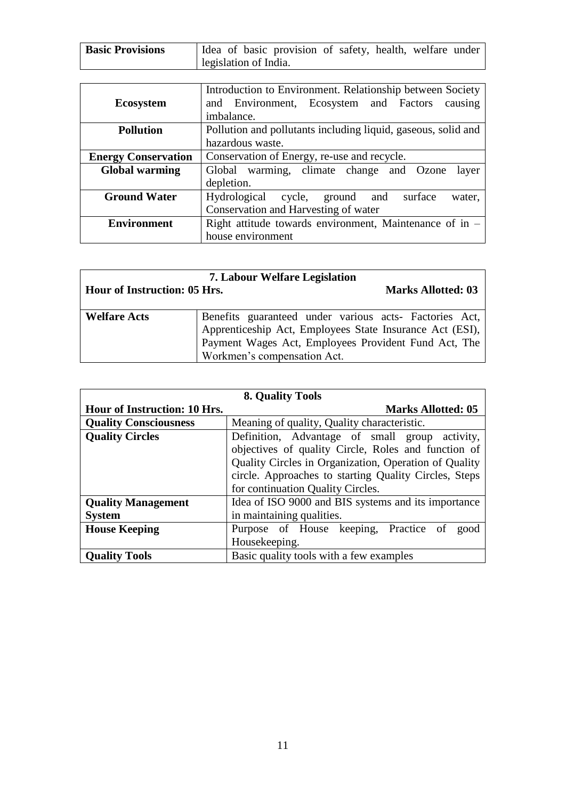| <b>Basic Provisions</b> |                       |  |  | I Idea of basic provision of safety, health, welfare under |  |  |  |
|-------------------------|-----------------------|--|--|------------------------------------------------------------|--|--|--|
|                         | legislation of India. |  |  |                                                            |  |  |  |

|                            | Introduction to Environment. Relationship between Society     |  |  |
|----------------------------|---------------------------------------------------------------|--|--|
| <b>Ecosystem</b>           | and Environment, Ecosystem and Factors<br>causing             |  |  |
|                            | imbalance.                                                    |  |  |
| <b>Pollution</b>           | Pollution and pollutants including liquid, gaseous, solid and |  |  |
|                            | hazardous waste.                                              |  |  |
| <b>Energy Conservation</b> | Conservation of Energy, re-use and recycle.                   |  |  |
| <b>Global warming</b>      | Global warming, climate change and Ozone<br>layer             |  |  |
|                            | depletion.                                                    |  |  |
| <b>Ground Water</b>        | Hydrological cycle,<br>surface<br>ground and<br>water,        |  |  |
|                            | Conservation and Harvesting of water                          |  |  |
| <b>Environment</b>         | Right attitude towards environment, Maintenance of in $-$     |  |  |
|                            | house environment                                             |  |  |

| <b>7. Labour Welfare Legislation</b> |                                                                                                                  |                           |  |  |
|--------------------------------------|------------------------------------------------------------------------------------------------------------------|---------------------------|--|--|
| <b>Hour of Instruction: 05 Hrs.</b>  |                                                                                                                  | <b>Marks Allotted: 03</b> |  |  |
|                                      |                                                                                                                  |                           |  |  |
| <b>Welfare Acts</b>                  | Benefits guaranteed under various acts- Factories Act,                                                           |                           |  |  |
|                                      | Apprenticeship Act, Employees State Insurance Act (ESI),<br>Payment Wages Act, Employees Provident Fund Act, The |                           |  |  |
|                                      |                                                                                                                  |                           |  |  |
|                                      | Workmen's compensation Act.                                                                                      |                           |  |  |

| <b>8. Quality Tools</b>             |                                                       |  |  |
|-------------------------------------|-------------------------------------------------------|--|--|
| <b>Hour of Instruction: 10 Hrs.</b> | <b>Marks Allotted: 05</b>                             |  |  |
| <b>Quality Consciousness</b>        | Meaning of quality, Quality characteristic.           |  |  |
| <b>Quality Circles</b>              | Definition, Advantage of small group activity,        |  |  |
|                                     | objectives of quality Circle, Roles and function of   |  |  |
|                                     | Quality Circles in Organization, Operation of Quality |  |  |
|                                     | circle. Approaches to starting Quality Circles, Steps |  |  |
|                                     | for continuation Quality Circles.                     |  |  |
| <b>Quality Management</b>           | Idea of ISO 9000 and BIS systems and its importance   |  |  |
| <b>System</b>                       | in maintaining qualities.                             |  |  |
| <b>House Keeping</b>                | Purpose of House keeping, Practice of<br>good         |  |  |
|                                     | Housekeeping.                                         |  |  |
| <b>Quality Tools</b>                | Basic quality tools with a few examples               |  |  |